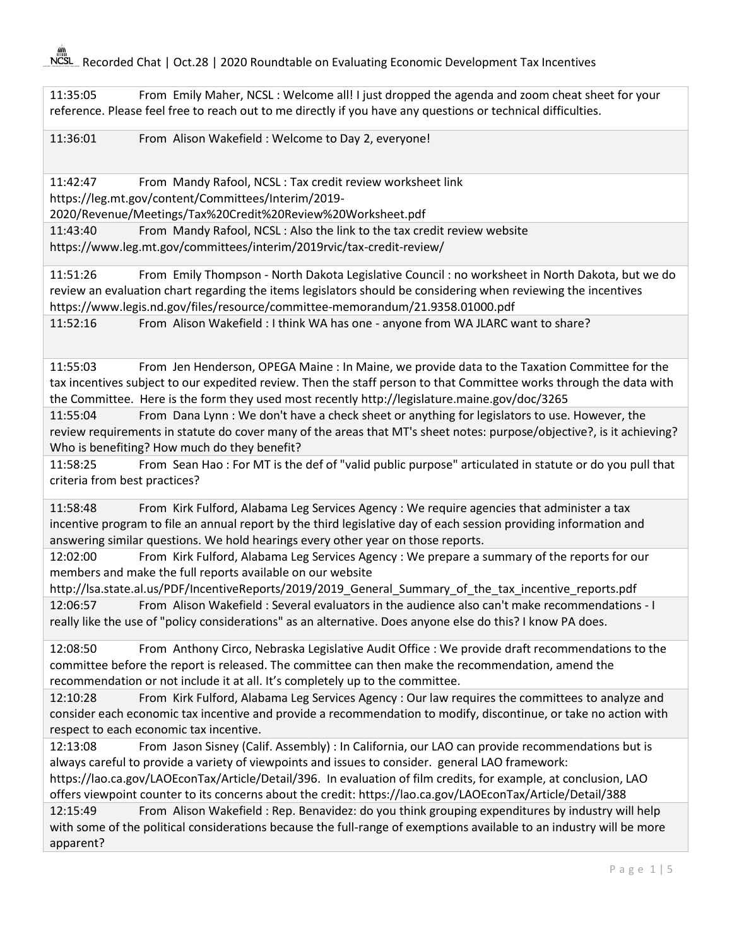NCSL Recorded Chat | Oct.28 | 2020 Roundtable on Evaluating Economic Development Tax Incentives

11:35:05 From Emily Maher, NCSL : Welcome all! I just dropped the agenda and zoom cheat sheet for your reference. Please feel free to reach out to me directly if you have any questions or technical difficulties.

11:36:01 From Alison Wakefield : Welcome to Day 2, everyone!

11:42:47 From Mandy Rafool, NCSL : Tax credit review worksheet link

https://leg.mt.gov/content/Committees/Interim/2019-

2020/Revenue/Meetings/Tax%20Credit%20Review%20Worksheet.pdf

11:43:40 From Mandy Rafool, NCSL : Also the link to the tax credit review website https://www.leg.mt.gov/committees/interim/2019rvic/tax-credit-review/

11:51:26 From Emily Thompson - North Dakota Legislative Council : no worksheet in North Dakota, but we do review an evaluation chart regarding the items legislators should be considering when reviewing the incentives https://www.legis.nd.gov/files/resource/committee-memorandum/21.9358.01000.pdf

11:52:16 From Alison Wakefield : I think WA has one - anyone from WA JLARC want to share?

11:55:03 From Jen Henderson, OPEGA Maine : In Maine, we provide data to the Taxation Committee for the tax incentives subject to our expedited review. Then the staff person to that Committee works through the data with the Committee. Here is the form they used most recently http://legislature.maine.gov/doc/3265

11:55:04 From Dana Lynn : We don't have a check sheet or anything for legislators to use. However, the review requirements in statute do cover many of the areas that MT's sheet notes: purpose/objective?, is it achieving? Who is benefiting? How much do they benefit?

11:58:25 From Sean Hao : For MT is the def of "valid public purpose" articulated in statute or do you pull that criteria from best practices?

11:58:48 From Kirk Fulford, Alabama Leg Services Agency : We require agencies that administer a tax incentive program to file an annual report by the third legislative day of each session providing information and answering similar questions. We hold hearings every other year on those reports.

12:02:00 From Kirk Fulford, Alabama Leg Services Agency : We prepare a summary of the reports for our members and make the full reports available on our website

http://lsa.state.al.us/PDF/IncentiveReports/2019/2019\_General\_Summary\_of\_the\_tax\_incentive\_reports.pdf 12:06:57 From Alison Wakefield : Several evaluators in the audience also can't make recommendations - I

really like the use of "policy considerations" as an alternative. Does anyone else do this? I know PA does.

12:08:50 From Anthony Circo, Nebraska Legislative Audit Office : We provide draft recommendations to the committee before the report is released. The committee can then make the recommendation, amend the recommendation or not include it at all. It's completely up to the committee.

12:10:28 From Kirk Fulford, Alabama Leg Services Agency : Our law requires the committees to analyze and consider each economic tax incentive and provide a recommendation to modify, discontinue, or take no action with respect to each economic tax incentive.

12:13:08 From Jason Sisney (Calif. Assembly) : In California, our LAO can provide recommendations but is always careful to provide a variety of viewpoints and issues to consider. general LAO framework: https://lao.ca.gov/LAOEconTax/Article/Detail/396. In evaluation of film credits, for example, at conclusion, LAO

offers viewpoint counter to its concerns about the credit: https://lao.ca.gov/LAOEconTax/Article/Detail/388 12:15:49 From Alison Wakefield : Rep. Benavidez: do you think grouping expenditures by industry will help

with some of the political considerations because the full-range of exemptions available to an industry will be more apparent?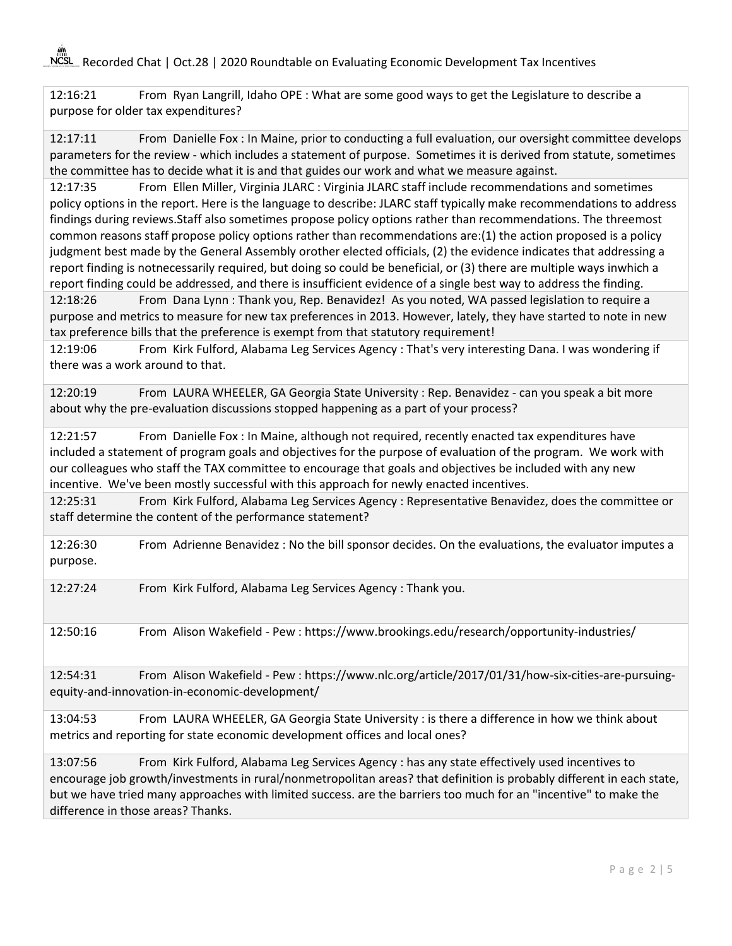NCSL Recorded Chat | Oct.28 | 2020 Roundtable on Evaluating Economic Development Tax Incentives

12:16:21 From Ryan Langrill, Idaho OPE : What are some good ways to get the Legislature to describe a purpose for older tax expenditures?

12:17:11 From Danielle Fox : In Maine, prior to conducting a full evaluation, our oversight committee develops parameters for the review - which includes a statement of purpose. Sometimes it is derived from statute, sometimes the committee has to decide what it is and that guides our work and what we measure against.

12:17:35 From Ellen Miller, Virginia JLARC : Virginia JLARC staff include recommendations and sometimes policy options in the report. Here is the language to describe: JLARC staff typically make recommendations to address findings during reviews. Staff also sometimes propose policy options rather than recommendations. The three most common reasons staff propose policy options rather than recommendations are: (1) the action proposed is a policy judgment best made by the General Assembly orother elected officials, (2) the evidence indicates that addressing a report finding is not necessarily required, but doing so could be beneficial, or (3) there are multiple ways inwhich a report finding could be addressed, and there is insufficient evidence of a single best way to address the finding.

12:18:26 From Dana Lynn : Thank you, Rep. Benavidez! As you noted, WA passed legislation to require a purpose and metrics to measure for new tax preferences in 2013. However, lately, they have started to note in new tax preference bills that the preference is exempt from that statutory requirement!

12:19:06 From Kirk Fulford, Alabama Leg Services Agency : That's very interesting Dana. I was wondering if there was a work around to that.

12:20:19 From LAURA WHEELER, GA Georgia State University : Rep. Benavidez - can you speak a bit more about why the pre-evaluation discussions stopped happening as a part of your process?

12:21:57 From Danielle Fox : In Maine, although not required, recently enacted tax expenditures have included a statement of program goals and objectives for the purpose of evaluation of the program. We work with our colleagues who staff the TAX committee to encourage that goals and objectives be included with any new incentive. We've been mostly successful with this approach for newly enacted incentives.

12:25:31 From Kirk Fulford, Alabama Leg Services Agency : Representative Benavidez, does the committee or staff determine the content of the performance statement?

12:26:30 From Adrienne Benavidez : No the bill sponsor decides. On the evaluations, the evaluator imputes a purpose.

12:27:24 From Kirk Fulford, Alabama Leg Services Agency : Thank you.

12:50:16 From Alison Wakefield - Pew : https://www.brookings.edu/research/opportunity-industries/

12:54:31 From Alison Wakefield - Pew : https://www.nlc.org/article/2017/01/31/how-six-cities-are-pursuingequity-and-innovation-in-economic-development/

13:04:53 From LAURA WHEELER, GA Georgia State University : is there a difference in how we think about metrics and reporting for state economic development offices and local ones?

13:07:56 From Kirk Fulford, Alabama Leg Services Agency : has any state effectively used incentives to encourage job growth/investments in rural/nonmetropolitan areas? that definition is probably different in each state, but we have tried many approaches with limited success. are the barriers too much for an "incentive" to make the difference in those areas? Thanks.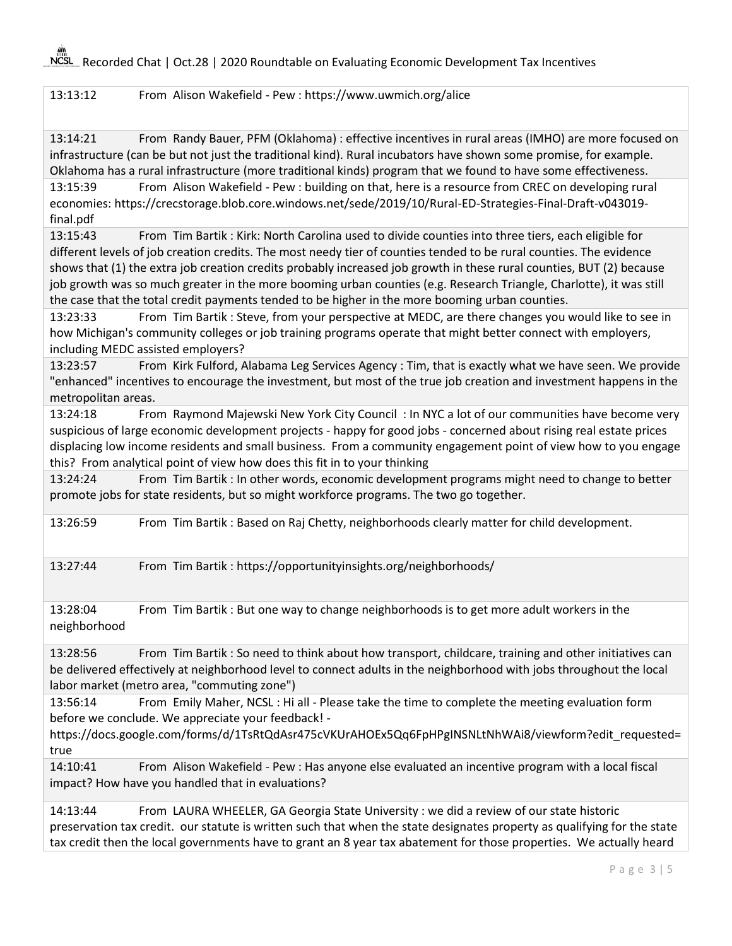## 13:13:12 From Alison Wakefield - Pew : https://www.uwmich.org/alice

13:14:21 From Randy Bauer, PFM (Oklahoma) : effective incentives in rural areas (IMHO) are more focused on infrastructure (can be but not just the traditional kind). Rural incubators have shown some promise, for example. Oklahoma has a rural infrastructure (more traditional kinds) program that we found to have some effectiveness.

13:15:39 From Alison Wakefield - Pew : building on that, here is a resource from CREC on developing rural economies: https://crecstorage.blob.core.windows.net/sede/2019/10/Rural-ED-Strategies-Final-Draft-v043019 final.pdf

13:15:43 From Tim Bartik : Kirk: North Carolina used to divide counties into three tiers, each eligible for different levels of job creation credits. The most needy tier of counties tended to be rural counties. The evidence shows that (1) the extra job creation credits probably increased job growth in these rural counties, BUT (2) because job growth was so much greater in the more booming urban counties (e.g. Research Triangle, Charlotte), it was still the case that the total credit payments tended to be higher in the more booming urban counties.

13:23:33 From Tim Bartik : Steve, from your perspective at MEDC, are there changes you would like to see in how Michigan's community colleges or job training programs operate that might better connect with employers, including MEDC assisted employers?

13:23:57 From Kirk Fulford, Alabama Leg Services Agency : Tim, that is exactly what we have seen. We provide "enhanced" incentives to encourage the investment, but most of the true job creation and investment happens in the metropolitan areas.

13:24:18 From Raymond Majewski New York City Council : In NYC a lot of our communities have become very suspicious of large economic development projects - happy for good jobs - concerned about rising real estate prices displacing low income residents and small business. From a community engagement point of view how to you engage this? From analytical point of view how does this fit in to your thinking

13:24:24 From Tim Bartik : In other words, economic development programs might need to change to better promote jobs for state residents, but so might workforce programs. The two go together.

13:26:59 From Tim Bartik : Based on Raj Chetty, neighborhoods clearly matter for child development.

13:27:44 From Tim Bartik : https://opportunityinsights.org/neighborhoods/

13:28:04 From Tim Bartik : But one way to change neighborhoods is to get more adult workers in the neighborhood

13:28:56 From Tim Bartik : So need to think about how transport, childcare, training and other initiatives can be delivered effectively at neighborhood level to connect adults in the neighborhood with jobs throughout the local labor market (metro area, "commuting zone")

13:56:14 From Emily Maher, NCSL : Hi all - Please take the time to complete the meeting evaluation form before we conclude. We appreciate your feedback! -

https://docs.google.com/forms/d/1TsRtQdAsr475cVKUrAHOEx5Qq6FpHPgINSNLtNhWAi8/viewform?edit\_requested= true

14:10:41 From Alison Wakefield - Pew : Has anyone else evaluated an incentive program with a local fiscal impact? How have you handled that in evaluations?

14:13:44 From LAURA WHEELER, GA Georgia State University : we did a review of our state historic preservation tax credit. our statute is written such that when the state designates property as qualifying for the state tax credit then the local governments have to grant an 8 year tax abatement for those properties. We actually heard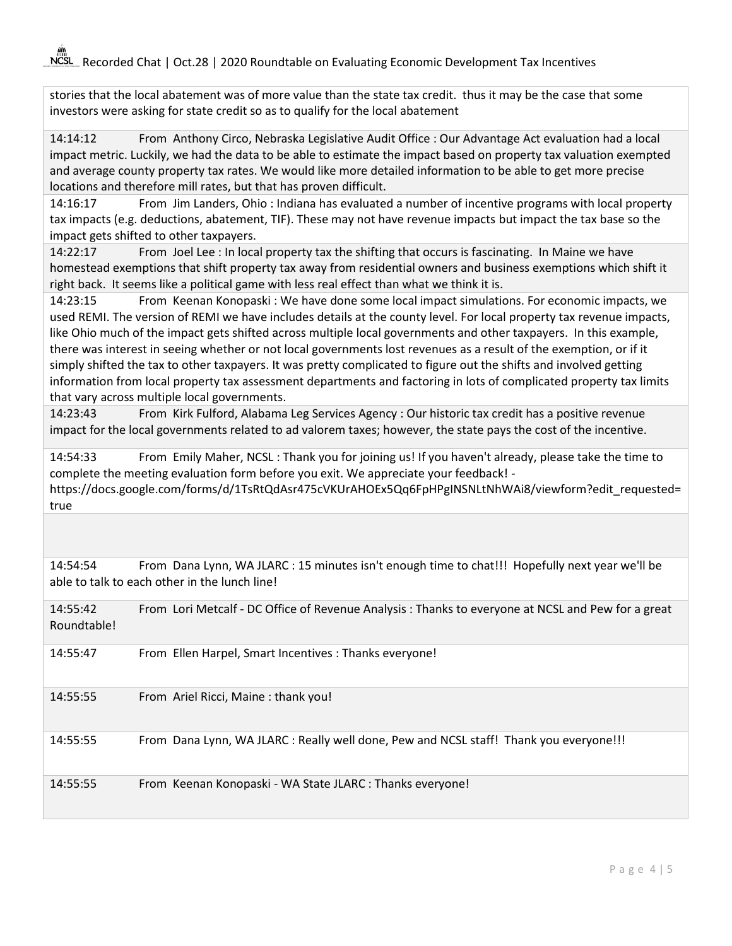NCSL Recorded Chat | Oct.28 | 2020 Roundtable on Evaluating Economic Development Tax Incentives

stories that the local abatement was of more value than the state tax credit. thus it may be the case that some investors were asking for state credit so as to qualify for the local abatement

14:14:12 From Anthony Circo, Nebraska Legislative Audit Office : Our Advantage Act evaluation had a local impact metric. Luckily, we had the data to be able to estimate the impact based on property tax valuation exempted and average county property tax rates. We would like more detailed information to be able to get more precise locations and therefore mill rates, but that has proven difficult.

14:16:17 From Jim Landers, Ohio : Indiana has evaluated a number of incentive programs with local property tax impacts (e.g. deductions, abatement, TIF). These may not have revenue impacts but impact the tax base so the impact gets shifted to other taxpayers.

14:22:17 From Joel Lee : In local property tax the shifting that occurs is fascinating. In Maine we have homestead exemptions that shift property tax away from residential owners and business exemptions which shift it right back. It seems like a political game with less real effect than what we think it is.

14:23:15 From Keenan Konopaski : We have done some local impact simulations. For economic impacts, we used REMI. The version of REMI we have includes details at the county level. For local property tax revenue impacts, like Ohio much of the impact gets shifted across multiple local governments and other taxpayers. In this example, there was interest in seeing whether or not local governments lost revenues as a result of the exemption, or if it simply shifted the tax to other taxpayers. It was pretty complicated to figure out the shifts and involved getting information from local property tax assessment departments and factoring in lots of complicated property tax limits that vary across multiple local governments.

14:23:43 From Kirk Fulford, Alabama Leg Services Agency : Our historic tax credit has a positive revenue impact for the local governments related to ad valorem taxes; however, the state pays the cost of the incentive.

14:54:33 From Emily Maher, NCSL : Thank you for joining us! If you haven't already, please take the time to complete the meeting evaluation form before you exit. We appreciate your feedback! https://docs.google.com/forms/d/1TsRtQdAsr475cVKUrAHOEx5Qq6FpHPgINSNLtNhWAi8/viewform?edit\_requested= true

14:54:54 From Dana Lynn, WA JLARC : 15 minutes isn't enough time to chat!!! Hopefully next year we'll be able to talk to each other in the lunch line!

| 14:55:42<br>Roundtable! | From Lori Metcalf - DC Office of Revenue Analysis: Thanks to everyone at NCSL and Pew for a great |
|-------------------------|---------------------------------------------------------------------------------------------------|
| 14:55:47                | From Ellen Harpel, Smart Incentives : Thanks everyone!                                            |
| 14:55:55                | From Ariel Ricci, Maine: thank you!                                                               |
| 14:55:55                | From Dana Lynn, WA JLARC: Really well done, Pew and NCSL staff! Thank you everyone!!!             |
| 14:55:55                | From Keenan Konopaski - WA State JLARC : Thanks everyone!                                         |